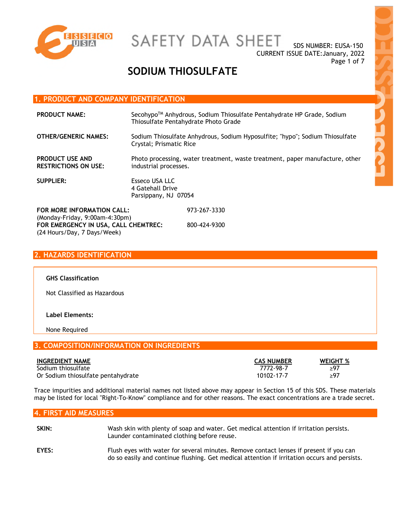

# SAFETY DATA SHEET

SDS NUMBER: EUSA-150 CURRENT ISSUE DATE:January, 2022 Page 1 of 7

# **SODIUM THIOSULFATE**

### **1. PRODUCT AND COMPANY IDENTIFICATION**

| <b>PRODUCT NAME:</b>                                         |                                                                                                         | Secohypo™ Anhydrous, Sodium Thiosulfate Pentahydrate HP Grade, Sodium<br>Thiosulfate Pentahydrate Photo Grade |
|--------------------------------------------------------------|---------------------------------------------------------------------------------------------------------|---------------------------------------------------------------------------------------------------------------|
| <b>OTHER/GENERIC NAMES:</b>                                  | Sodium Thiosulfate Anhydrous, Sodium Hyposulfite; "hypo"; Sodium Thiosulfate<br>Crystal; Prismatic Rice |                                                                                                               |
| <b>PRODUCT USE AND</b><br><b>RESTRICTIONS ON USE:</b>        | Photo processing, water treatment, waste treatment, paper manufacture, other<br>industrial processes.   |                                                                                                               |
| <b>SUPPLIER:</b>                                             | Esseco USA LLC<br>4 Gatehall Drive<br>Parsippany, NJ 07054                                              |                                                                                                               |
| FOR MORE INFORMATION CALL:<br>(Monday-Friday, 9:00am-4:30pm) |                                                                                                         | 973-267-3330                                                                                                  |
| FOR EMERGENCY IN USA, CALL CHEMTREC:                         |                                                                                                         | 800-424-9300                                                                                                  |

# **2. HAZARDS IDENTIFICATION**

(24 Hours/Day, 7 Days/Week)

#### **GHS Classification**

Not Classified as Hazardous

#### **Label Elements:**

None Required

## **3. COMPOSITION/INFORMATION ON INGREDIENTS**

| <b>INGREDIENT NAME</b>             | <b>CAS NUMBER</b> | <b>WEIGHT %</b> |
|------------------------------------|-------------------|-----------------|
| Sodium thiosulfate                 | 7772-98-7         | >97             |
| Or Sodium thiosulfate pentahydrate | 10102-17-7        | ≥97             |

Trace impurities and additional material names not listed above may appear in Section 15 of this SDS. These materials may be listed for local "Right-To-Know" compliance and for other reasons. The exact concentrations are a trade secret.

### **4. FIRST AID MEASURES**

| SKIN: | Wash skin with plenty of soap and water. Get medical attention if irritation persists.<br>Launder contaminated clothing before reuse.                                                  |
|-------|----------------------------------------------------------------------------------------------------------------------------------------------------------------------------------------|
| EYES: | Flush eyes with water for several minutes. Remove contact lenses if present if you can<br>do so easily and continue flushing. Get medical attention if irritation occurs and persists. |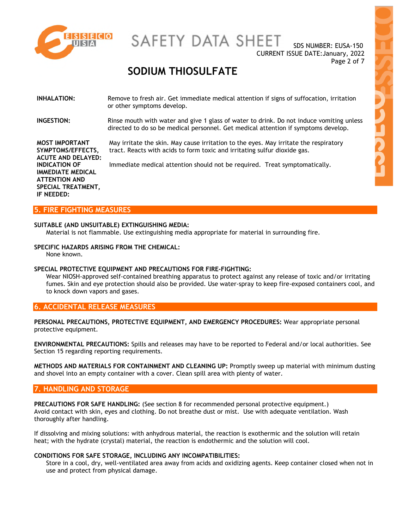

# SAFETY DATA SHEET

SDS NUMBER: EUSA-150 CURRENT ISSUE DATE:January, 2022 Page 2 of 7

# **SODIUM THIOSULFATE**

#### **INHALATION:** Remove to fresh air. Get immediate medical attention if signs of suffocation, irritation or other symptoms develop.

**INGESTION:** Rinse mouth with water and give 1 glass of water to drink. Do not induce vomiting unless directed to do so be medical personnel. Get medical attention if symptoms develop.

> May irritate the skin. May cause irritation to the eyes. May irritate the respiratory tract. Reacts with acids to form toxic and irritating sulfur dioxide gas.

Immediate medical attention should not be required. Treat symptomatically.

**MOST IMPORTANT SYMPTOMS/EFFECTS, ACUTE AND DELAYED: INDICATION OF IMMEDIATE MEDICAL ATTENTION AND SPECIAL TREATMENT, IF NEEDED:**

#### **5. FIRE FIGHTING MEASURES**

#### **SUITABLE (AND UNSUITABLE) EXTINGUISHING MEDIA:**

Material is not flammable. Use extinguishing media appropriate for material in surrounding fire.

**SPECIFIC HAZARDS ARISING FROM THE CHEMICAL:** 

None known.

#### **SPECIAL PROTECTIVE EQUIPMENT AND PRECAUTIONS FOR FIRE-FIGHTING:**

Wear NIOSH-approved self-contained breathing apparatus to protect against any release of toxic and/or irritating fumes. Skin and eye protection should also be provided. Use water-spray to keep fire-exposed containers cool, and to knock down vapors and gases.

### **6. ACCIDENTAL RELEASE MEASURES**

**PERSONAL PRECAUTIONS, PROTECTIVE EQUIPMENT, AND EMERGENCY PROCEDURES:** Wear appropriate personal protective equipment.

**ENVIRONMENTAL PRECAUTIONS:** Spills and releases may have to be reported to Federal and/or local authorities. See Section 15 regarding reporting requirements.

**METHODS AND MATERIALS FOR CONTAINMENT AND CLEANING UP:** Promptly sweep up material with minimum dusting and shovel into an empty container with a cover. Clean spill area with plenty of water.

#### **7. HANDLING AND STORAGE**

**PRECAUTIONS FOR SAFE HANDLING:** (See section 8 for recommended personal protective equipment.) Avoid contact with skin, eyes and clothing. Do not breathe dust or mist. Use with adequate ventilation. Wash thoroughly after handling.

If dissolving and mixing solutions: with anhydrous material, the reaction is exothermic and the solution will retain heat; with the hydrate (crystal) material, the reaction is endothermic and the solution will cool.

#### **CONDITIONS FOR SAFE STORAGE, INCLUDING ANY INCOMPATIBILITIES:**

Store in a cool, dry, well-ventilated area away from acids and oxidizing agents. Keep container closed when not in use and protect from physical damage.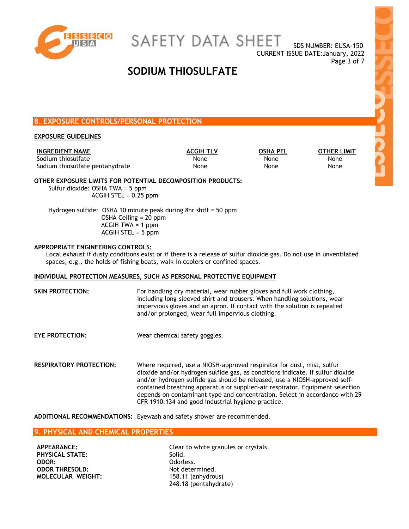

SAFETY DATA SHEET

SDS NUMBER: EUSA-150 CURRENT ISSUE DATE:January, 2022 Page 3 of 7

# **SODIUM THIOSULFATE**

## **8. EXPOSURE CONTROLS/PERSONAL PROTECTION**

#### **EXPOSURE GUIDELINES**

**INGREDIENT NAME ACGIH TLV OSHA PEL OTHER LIMIT** Sodium thiosulfate **None** None None None None None Sodium thiosulfate pentahydrate None None None None None None

#### **OTHER EXPOSURE LIMITS FOR POTENTIAL DECOMPOSITION PRODUCTS:** Sulfur dioxide: OSHA TWA = 5 ppm

ACGIH STEL = 0.25 ppm

Hydrogen sulfide: OSHA 10 minute peak during 8hr shift = 50 ppm OSHA Ceiling = 20 ppm ACGIH TWA = 1 ppm ACGIH STEL = 5 ppm

#### **APPROPRIATE ENGINEERING CONTROLS:**

Local exhaust if dusty conditions exist or if there is a release of sulfur dioxide gas. Do not use in unventilated spaces, e.g., the holds of fishing boats, walk-in coolers or confined spaces.

#### **INDIVIDUAL PROTECTION MEASURES, SUCH AS PERSONAL PROTECTIVE EQUIPMENT**

**SKIN PROTECTION:** For handling dry material, wear rubber gloves and full work clothing, including long-sleeved shirt and trousers. When handling solutions, wear impervious gloves and an apron. If contact with the solution is repeated and/or prolonged, wear full impervious clothing. **EYE PROTECTION:** Wear chemical safety goggles. **RESPIRATORY PROTECTION:** Where required, use a NIOSH-approved respirator for dust, mist, sulfur dioxide and/or hydrogen sulfide gas, as conditions indicate. If sulfur dioxide and/or hydrogen sulfide gas should be released, use a NIOSH-approved selfcontained breathing apparatus or supplied-air respirator. Equipment selection depends on contaminant type and concentration. Select in accordance with 29 CFR 1910.134 and good industrial hygiene practice.

**ADDITIONAL RECOMMENDATIONS:** Eyewash and safety shower are recommended.

## **9. PHYSICAL AND CHEMICAL PROPERTIES**

**PHYSICAL STATE:** Solid. **ODOR:** Odorless. **ODOR THRESOLD:** Not determined. **MOLECULAR WEIGHT:** 158.11 (anhydrous)

**APPEARANCE:** Clear to white granules or crystals. 248.18 (pentahydrate)

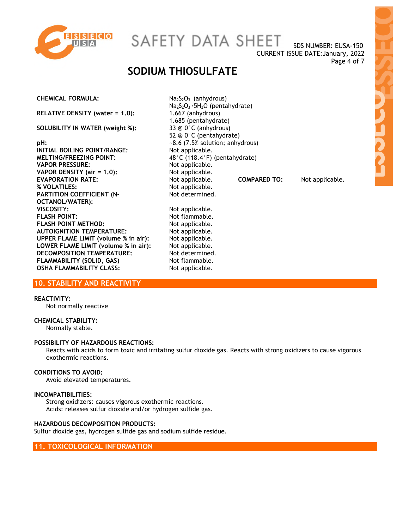

SAFETY DATA SHEET

SDS NUMBER: EUSA-150 CURRENT ISSUE DATE:January, 2022 Page 4 of 7

# **SODIUM THIOSULFATE**

**CHEMICAL FORMULA:** Na<sub>2</sub>S<sub>2</sub>O<sub>3</sub> (anhydrous)

**RELATIVE DENSITY (water = 1.0):** 1.667 (anhydrous)

**SOLUBILITY IN WATER (weight %):** 33 @ 0°C (anhydrous)

**pH:**  $\sim$ 8.6 (7.5% solution; anhydrous)<br> **INITIAL BOILING POINT/RANGE:** Not applicable. **INITIAL BOILING POINT/RANGE:** MELTING/FREEZING POINT: 48°C (118.4°F) (pentahydrate) **VAPOR PRESSURE:** Not applicable.<br> **VAPOR DENSITY** (air = 1.0): Not applicable. **VAPOR DENSITY (air = 1.0): % VOLATILES:** Not applicable. **PARTITION COEFFICIENT (N-OCTANOL/WATER): VISCOSITY:** Not applicable. **FLASH POINT:** Not flammable. **FLASH POINT METHOD:** Not applicable. **AUTOIGNITION TEMPERATURE:** Not applicable. **UPPER FLAME LIMIT (volume % in air):** Not applicable.<br>**LOWER FLAME LIMIT (volume % in air):** Not applicable. **LOWER FLAME LIMIT (volume % in air):** DECOMPOSITION TEMPERATURE: Not determined. **FLAMMABILITY (SOLID, GAS)** Not flammable. **OSHA FLAMMABILITY CLASS:** Not applicable.

Na2S2O3 ·5H2O (pentahydrate) 1.685 (pentahydrate) 52 @ 0°C (pentahydrate) **EVAPORATION RATE:** Not applicable. **COMPARED TO:** Not applicable. Not determined.

**10. STABILITY AND REACTIVITY** 

#### **REACTIVITY:**

Not normally reactive

#### **CHEMICAL STABILITY:**

Normally stable.

#### **POSSIBILITY OF HAZARDOUS REACTIONS:**

Reacts with acids to form toxic and irritating sulfur dioxide gas. Reacts with strong oxidizers to cause vigorous exothermic reactions.

#### **CONDITIONS TO AVOID:**

Avoid elevated temperatures.

#### **INCOMPATIBILITIES:**

Strong oxidizers: causes vigorous exothermic reactions. Acids: releases sulfur dioxide and/or hydrogen sulfide gas.

#### **HAZARDOUS DECOMPOSITION PRODUCTS:**

Sulfur dioxide gas, hydrogen sulfide gas and sodium sulfide residue.

**11. TOXICOLOGICAL INFORMATION**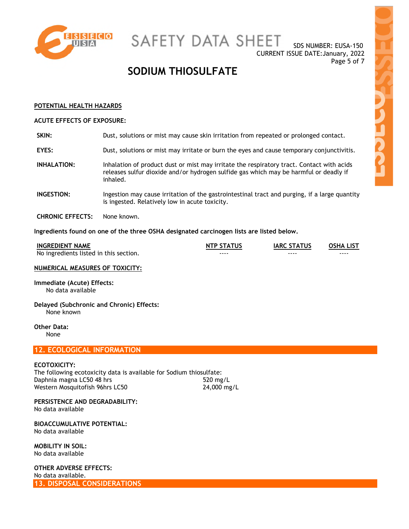

SAFETY DATA SHEET

SDS NUMBER: EUSA-150 CURRENT ISSUE DATE:January, 2022 Page 5 of 7

# **SODIUM THIOSULFATE**

#### **POTENTIAL HEALTH HAZARDS**

#### **ACUTE EFFECTS OF EXPOSURE:**

| SKIN:                   | Dust, solutions or mist may cause skin irritation from repeated or prolonged contact.                                                                                                          |
|-------------------------|------------------------------------------------------------------------------------------------------------------------------------------------------------------------------------------------|
| <b>EYES:</b>            | Dust, solutions or mist may irritate or burn the eyes and cause temporary conjunctivitis.                                                                                                      |
| INHALATION:             | Inhalation of product dust or mist may irritate the respiratory tract. Contact with acids<br>releases sulfur dioxide and/or hydrogen sulfide gas which may be harmful or deadly if<br>inhaled. |
| <b>INGESTION:</b>       | Ingestion may cause irritation of the gastrointestinal tract and purging, if a large quantity<br>is ingested. Relatively low in acute toxicity.                                                |
| <b>CHRONIC EFFECTS:</b> | None known.                                                                                                                                                                                    |

**Ingredients found on one of the three OSHA designated carcinogen lists are listed below.** 

| <b>INGREDIENT NAME</b>                 | <b>NTP STATUS</b> | <b>IARC STATUS</b> | <b>OSHA LIST</b> |
|----------------------------------------|-------------------|--------------------|------------------|
| No ingredients listed in this section. | ----              | ----               | ----             |

## **NUMERICAL MEASURES OF TOXICITY:**

**Immediate (Acute) Effects:**  No data available

**Delayed (Subchronic and Chronic) Effects:**  None known

**Other Data:**  None

# **12. ECOLOGICAL INFORMATION**

## **ECOTOXICITY:**

The following ecotoxicity data is available for Sodium thiosulfate: Daphnia magna LC50 48 hrs 520 mg/L Western Mosquitofish 96hrs LC50 24,000 mg/L

**PERSISTENCE AND DEGRADABILITY:**  No data available

**BIOACCUMULATIVE POTENTIAL:**  No data available

**MOBILITY IN SOIL:**  No data available

**OTHER ADVERSE EFFECTS:**  No data available. **13. DISPOSAL CONSIDERATIONS**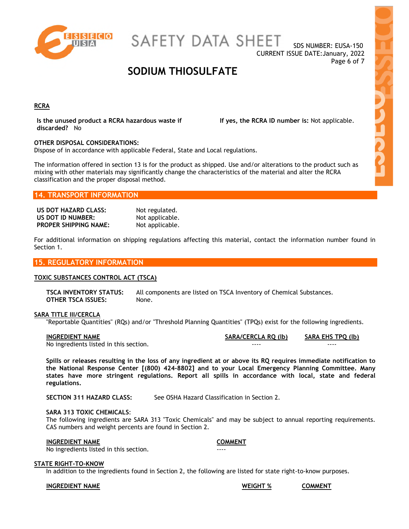

SAFETY DATA SHEET

SDS NUMBER: EUSA-150 CURRENT ISSUE DATE:January, 2022 Page 6 of 7

# **SODIUM THIOSULFATE**

#### **RCRA**

**Is the unused product a RCRA hazardous waste if discarded?** No

**If yes, the RCRA ID number is:** Not applicable.

#### **OTHER DISPOSAL CONSIDERATIONS:**

Dispose of in accordance with applicable Federal, State and Local regulations.

The information offered in section 13 is for the product as shipped. Use and/or alterations to the product such as mixing with other materials may significantly change the characteristics of the material and alter the RCRA classification and the proper disposal method.

### **14. TRANSPORT INFORMATION**

**US DOT HAZARD CLASS:** Not regulated. **US DOT ID NUMBER:** Not applicable. **PROPER SHIPPING NAME:** Not applicable.

For additional information on shipping regulations affecting this material, contact the information number found in Section 1.

#### **15. REGULATORY INFORMATION**

#### **TOXIC SUBSTANCES CONTROL ACT (TSCA)**

**TSCA INVENTORY STATUS:** All components are listed on TSCA Inventory of Chemical Substances. **OTHER TSCA ISSUES:** None.

#### **SARA TITLE III/CERCLA**

"Reportable Quantities" (RQs) and/or "Threshold Planning Quantities" (TPQs) exist for the following ingredients.

| <b>INGREDIENT NAME</b>                 | SARA/CERCLA RQ (lb) | SARA EHS TPQ (lb) |
|----------------------------------------|---------------------|-------------------|
| No ingredients listed in this section. | ----                | ----              |

**Spills or releases resulting in the loss of any ingredient at or above its RQ requires immediate notification to the National Response Center [(800) 424-8802] and to your Local Emergency Planning Committee. Many states have more stringent regulations. Report all spills in accordance with local, state and federal regulations.** 

**SECTION 311 HAZARD CLASS:** See OSHA Hazard Classification in Section 2.

#### **SARA 313 TOXIC CHEMICALS**:

The following ingredients are SARA 313 "Toxic Chemicals" and may be subject to annual reporting requirements. CAS numbers and weight percents are found in Section 2.

#### **INGREDIENT NAME COMMENT**

No ingredients listed in this section.

#### **STATE RIGHT-TO-KNOW**

In addition to the ingredients found in Section 2, the following are listed for state right-to-know purposes.

**INGREDIENT NAME WEIGHT % COMMENT**